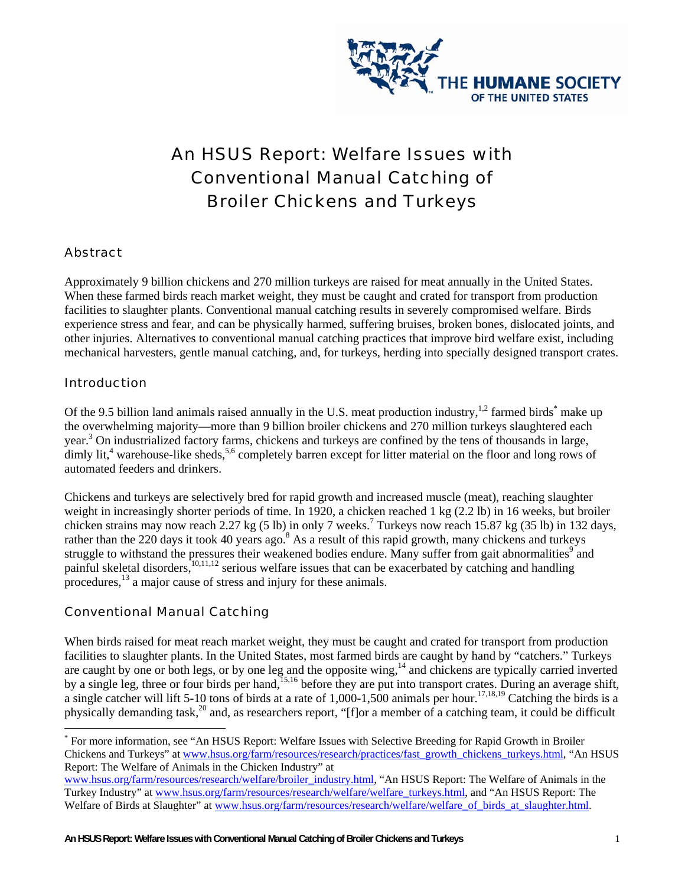

# An HSUS Report: Welfare Issues with Conventional Manual Catching of Broiler Chickens and Turkeys

### Abstract

Approximately 9 billion chickens and 270 million turkeys are raised for meat annually in the United States. When these farmed birds reach market weight, they must be caught and crated for transport from production facilities to slaughter plants. Conventional manual catching results in severely compromised welfare. Birds experience stress and fear, and can be physically harmed, suffering bruises, broken bones, dislocated joints, and other injuries. Alternatives to conventional manual catching practices that improve bird welfare exist, including mechanical harvesters, gentle manual catching, and, for turkeys, herding into specially designed transport crates.

#### Introduction

 $\overline{a}$ 

Of the 9.5 billion land animals raised annually in the U.S. meat production industry,  $1,2$  farmed birds<sup>\*</sup> make up the overwhelming majority—more than 9 billion broiler chickens and 270 million turkeys slaughtered each year.<sup>3</sup> On industrialized factory farms, chickens and turkeys are confined by the tens of thousands in large, dimly lit,<sup>4</sup> warehouse-like sheds,<sup>5,6</sup> completely barren except for litter material on the floor and long rows of automated feeders and drinkers.

Chickens and turkeys are selectively bred for rapid growth and increased muscle (meat), reaching slaughter weight in increasingly shorter periods of time. In 1920, a chicken reached 1 kg (2.2 lb) in 16 weeks, but broiler chicken strains may now reach  $2.27$  kg (5 lb) in only 7 weeks.<sup>7</sup> Turkeys now reach 15.87 kg (35 lb) in 132 days, rather than the 220 days it took 40 years ago.<sup>8</sup> As a result of this rapid growth, many chickens and turkeys struggle to withstand the pressures their weakened bodies endure. Many suffer from gait abnormalities<sup>9</sup> and painful skeletal disorders,<sup>10,11,12</sup> serious welfare issues that can be exacerbated by catching and handling procedures, $^{13}$  a major cause of stress and injury for these animals.

## Conventional Manual Catching

When birds raised for meat reach market weight, they must be caught and crated for transport from production facilities to slaughter plants. In the United States, most farmed birds are caught by hand by "catchers." Turkeys are caught by one or both legs, or by one leg and the opposite wing,<sup>14</sup> and chickens are typically carried inverted by a single leg, three or four birds per hand,<sup>15,16</sup> before they are put into transport crates. During an average shift, a single catcher will lift 5-10 tons of birds at a rate of  $1,000$ -1,500 animals per hour.<sup>17,18,19</sup> Catching the birds is a physically demanding task,<sup>20</sup> and, as researchers report, "[f]or a member of a catching team, it could be difficult

<sup>\*</sup> For more information, see "An HSUS Report: Welfare Issues with Selective Breeding for Rapid Growth in Broiler Chickens and Turkeys" at www.hsus.org/farm/resources/research/practices/fast\_growth\_chickens\_turkeys.html, "An HSUS Report: The Welfare of Animals in the Chicken Industry" at

www.hsus.org/farm/resources/research/welfare/broiler\_industry.html, "An HSUS Report: The Welfare of Animals in the Turkey Industry" at www.hsus.org/farm/resources/research/welfare/welfare\_turkeys.html, and "An HSUS Report: The Welfare of Birds at Slaughter" at www.hsus.org/farm/resources/research/welfare/welfare\_of\_birds\_at\_slaughter.html.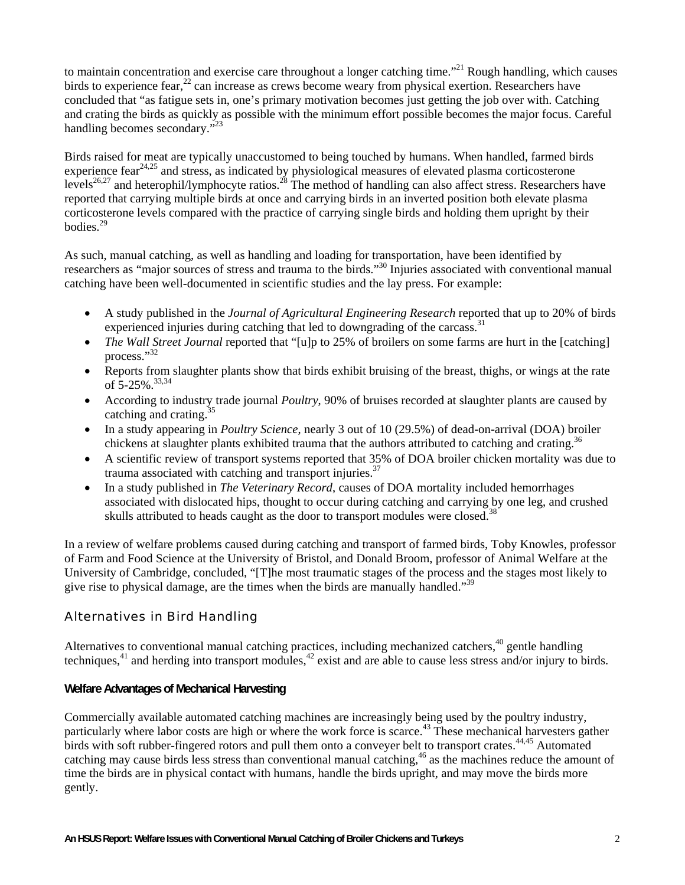to maintain concentration and exercise care throughout a longer catching time."<sup>21</sup> Rough handling, which causes birds to experience fear,  $^{22}$  can increase as crews become weary from physical exertion. Researchers have concluded that "as fatigue sets in, one's primary motivation becomes just getting the job over with. Catching and crating the birds as quickly as possible with the minimum effort possible becomes the major focus. Careful handling becomes secondary."<sup>23</sup>

Birds raised for meat are typically unaccustomed to being touched by humans. When handled, farmed birds experience fear<sup>24,25</sup> and stress, as indicated by physiological measures of elevated plasma corticosterone levels<sup>26,27</sup> and heterophil/lymphocyte ratios.<sup>28</sup> The method of handling can also affect stress. Researchers have reported that carrying multiple birds at once and carrying birds in an inverted position both elevate plasma corticosterone levels compared with the practice of carrying single birds and holding them upright by their bodies.29

As such, manual catching, as well as handling and loading for transportation, have been identified by researchers as "major sources of stress and trauma to the birds."30 Injuries associated with conventional manual catching have been well-documented in scientific studies and the lay press. For example:

- A study published in the *Journal of Agricultural Engineering Research* reported that up to 20% of birds experienced injuries during catching that led to downgrading of the carcass.<sup>31</sup>
- *The Wall Street Journal* reported that "[u]p to 25% of broilers on some farms are hurt in the [catching] process."<sup>32</sup>
- Reports from slaughter plants show that birds exhibit bruising of the breast, thighs, or wings at the rate of 5-25%.<sup>33,34</sup>
- According to industry trade journal *Poultry*, 90% of bruises recorded at slaughter plants are caused by catching and crating. $35$
- In a study appearing in *Poultry Science*, nearly 3 out of 10 (29.5%) of dead-on-arrival (DOA) broiler chickens at slaughter plants exhibited trauma that the authors attributed to catching and crating.<sup>36</sup>
- A scientific review of transport systems reported that 35% of DOA broiler chicken mortality was due to trauma associated with catching and transport injuries.<sup>37</sup>
- In a study published in *The Veterinary Record*, causes of DOA mortality included hemorrhages associated with dislocated hips, thought to occur during catching and carrying by one leg, and crushed skulls attributed to heads caught as the door to transport modules were closed.<sup>38</sup>

In a review of welfare problems caused during catching and transport of farmed birds, Toby Knowles, professor of Farm and Food Science at the University of Bristol, and Donald Broom, professor of Animal Welfare at the University of Cambridge, concluded, "[T]he most traumatic stages of the process and the stages most likely to give rise to physical damage, are the times when the birds are manually handled."<sup>39</sup>

## Alternatives in Bird Handling

Alternatives to conventional manual catching practices, including mechanized catchers,  $40$  gentle handling techniques, $41$  and herding into transport modules, $42$  exist and are able to cause less stress and/or injury to birds.

#### **Welfare Advantages of Mechanical Harvesting**

Commercially available automated catching machines are increasingly being used by the poultry industry, particularly where labor costs are high or where the work force is scarce.<sup>43</sup> These mechanical harvesters gather birds with soft rubber-fingered rotors and pull them onto a conveyer belt to transport crates.<sup>44,45</sup> Automated catching may cause birds less stress than conventional manual catching,<sup>46</sup> as the machines reduce the amount of time the birds are in physical contact with humans, handle the birds upright, and may move the birds more gently.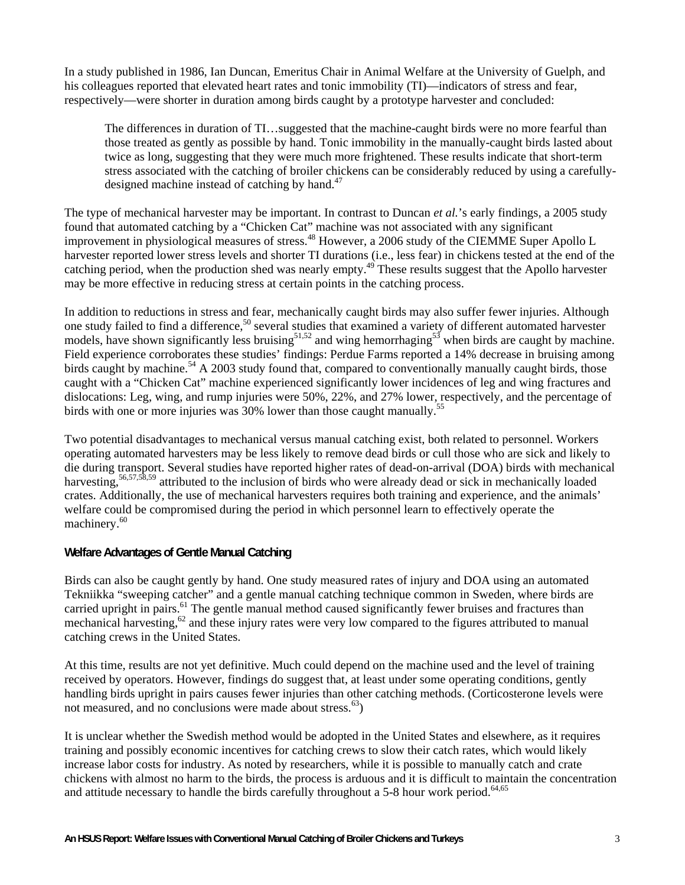In a study published in 1986, Ian Duncan, Emeritus Chair in Animal Welfare at the University of Guelph, and his colleagues reported that elevated heart rates and tonic immobility (TI)—indicators of stress and fear, respectively—were shorter in duration among birds caught by a prototype harvester and concluded:

The differences in duration of TI…suggested that the machine-caught birds were no more fearful than those treated as gently as possible by hand. Tonic immobility in the manually-caught birds lasted about twice as long, suggesting that they were much more frightened. These results indicate that short-term stress associated with the catching of broiler chickens can be considerably reduced by using a carefullydesigned machine instead of catching by hand. $47$ 

The type of mechanical harvester may be important. In contrast to Duncan *et al.*'s early findings, a 2005 study found that automated catching by a "Chicken Cat" machine was not associated with any significant improvement in physiological measures of stress.<sup>48</sup> However, a 2006 study of the CIEMME Super Apollo L harvester reported lower stress levels and shorter TI durations (i.e., less fear) in chickens tested at the end of the catching period, when the production shed was nearly empty.49 These results suggest that the Apollo harvester may be more effective in reducing stress at certain points in the catching process.

In addition to reductions in stress and fear, mechanically caught birds may also suffer fewer injuries. Although one study failed to find a difference,<sup>50</sup> several studies that examined a variety of different automated harvester models, have shown significantly less bruising<sup>51,52</sup> and wing hemorrhaging<sup>53</sup> when birds are caught by machine. Field experience corroborates these studies' findings: Perdue Farms reported a 14% decrease in bruising among birds caught by machine.<sup>54</sup> A 2003 study found that, compared to conventionally manually caught birds, those caught with a "Chicken Cat" machine experienced significantly lower incidences of leg and wing fractures and dislocations: Leg, wing, and rump injuries were 50%, 22%, and 27% lower, respectively, and the percentage of birds with one or more injuries was 30% lower than those caught manually.<sup>55</sup>

Two potential disadvantages to mechanical versus manual catching exist, both related to personnel. Workers operating automated harvesters may be less likely to remove dead birds or cull those who are sick and likely to die during transport. Several studies have reported higher rates of dead-on-arrival (DOA) birds with mechanical harvesting,<sup>56,57,58,59</sup> attributed to the inclusion of birds who were already dead or sick in mechanically loaded crates. Additionally, the use of mechanical harvesters requires both training and experience, and the animals' welfare could be compromised during the period in which personnel learn to effectively operate the machinery.<sup>60</sup>

#### **Welfare Advantages of Gentle Manual Catching**

Birds can also be caught gently by hand. One study measured rates of injury and DOA using an automated Tekniikka "sweeping catcher" and a gentle manual catching technique common in Sweden, where birds are carried upright in pairs.<sup>61</sup> The gentle manual method caused significantly fewer bruises and fractures than mechanical harvesting,<sup>62</sup> and these injury rates were very low compared to the figures attributed to manual catching crews in the United States.

At this time, results are not yet definitive. Much could depend on the machine used and the level of training received by operators. However, findings do suggest that, at least under some operating conditions, gently handling birds upright in pairs causes fewer injuries than other catching methods. (Corticosterone levels were not measured, and no conclusions were made about stress. $^{63}$ )

It is unclear whether the Swedish method would be adopted in the United States and elsewhere, as it requires training and possibly economic incentives for catching crews to slow their catch rates, which would likely increase labor costs for industry. As noted by researchers, while it is possible to manually catch and crate chickens with almost no harm to the birds, the process is arduous and it is difficult to maintain the concentration and attitude necessary to handle the birds carefully throughout a 5-8 hour work period.<sup>64,65</sup>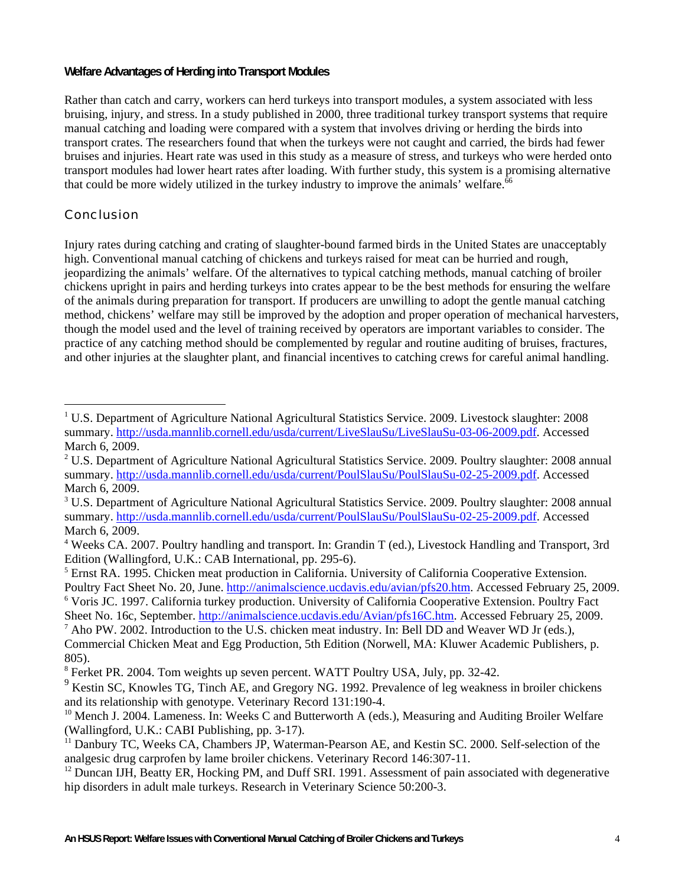#### **Welfare Advantages of Herding into Transport Modules**

Rather than catch and carry, workers can herd turkeys into transport modules, a system associated with less bruising, injury, and stress. In a study published in 2000, three traditional turkey transport systems that require manual catching and loading were compared with a system that involves driving or herding the birds into transport crates. The researchers found that when the turkeys were not caught and carried, the birds had fewer bruises and injuries. Heart rate was used in this study as a measure of stress, and turkeys who were herded onto transport modules had lower heart rates after loading. With further study, this system is a promising alternative that could be more widely utilized in the turkey industry to improve the animals' welfare. $66$ 

## Conclusion

 $\overline{a}$ 

Injury rates during catching and crating of slaughter-bound farmed birds in the United States are unacceptably high. Conventional manual catching of chickens and turkeys raised for meat can be hurried and rough, jeopardizing the animals' welfare. Of the alternatives to typical catching methods, manual catching of broiler chickens upright in pairs and herding turkeys into crates appear to be the best methods for ensuring the welfare of the animals during preparation for transport. If producers are unwilling to adopt the gentle manual catching method, chickens' welfare may still be improved by the adoption and proper operation of mechanical harvesters, though the model used and the level of training received by operators are important variables to consider. The practice of any catching method should be complemented by regular and routine auditing of bruises, fractures, and other injuries at the slaughter plant, and financial incentives to catching crews for careful animal handling.

<sup>&</sup>lt;sup>1</sup> U.S. Department of Agriculture National Agricultural Statistics Service. 2009. Livestock slaughter: 2008 summary. http://usda.mannlib.cornell.edu/usda/current/LiveSlauSu/LiveSlauSu-03-06-2009.pdf. Accessed March 6, 2009.

<sup>&</sup>lt;sup>2</sup> U.S. Department of Agriculture National Agricultural Statistics Service. 2009. Poultry slaughter: 2008 annual summary. http://usda.mannlib.cornell.edu/usda/current/PoulSlauSu/PoulSlauSu-02-25-2009.pdf. Accessed March 6, 2009.

<sup>&</sup>lt;sup>3</sup> U.S. Department of Agriculture National Agricultural Statistics Service. 2009. Poultry slaughter: 2008 annual summary. http://usda.mannlib.cornell.edu/usda/current/PoulSlauSu/PoulSlauSu-02-25-2009.pdf. Accessed March 6, 2009.

<sup>&</sup>lt;sup>4</sup> Weeks CA. 2007. Poultry handling and transport. In: Grandin T (ed.), Livestock Handling and Transport, 3rd Edition (Wallingford, U.K.: CAB International, pp. 295-6).

<sup>&</sup>lt;sup>5</sup> Ernst RA. 1995. Chicken meat production in California. University of California Cooperative Extension. Poultry Fact Sheet No. 20, June. http://animalscience.ucdavis.edu/avian/pfs20.htm. Accessed February 25, 2009. <sup>6</sup> Voris JC. 1997. California turkey production. University of California Cooperative Extension. Poultry Fact

Sheet No. 16c, September. http://animalscience.ucdavis.edu/Avian/pfs16C.htm. Accessed February 25, 2009.  $^7$  Aho PW. 2002. Introduction to the U.S. chicken meat industry. In: Bell DD and Weaver WD Jr (eds.),

Commercial Chicken Meat and Egg Production, 5th Edition (Norwell, MA: Kluwer Academic Publishers, p. 805).

<sup>&</sup>lt;sup>8</sup> Ferket PR. 2004. Tom weights up seven percent. WATT Poultry USA, July, pp. 32-42.

<sup>&</sup>lt;sup>9</sup> Kestin SC, Knowles TG, Tinch AE, and Gregory NG. 1992. Prevalence of leg weakness in broiler chickens and its relationship with genotype. Veterinary Record 131:190-4.<br><sup>10</sup> Mench J. 2004. Lameness. In: Weeks C and Butterworth A (eds.), Measuring and Auditing Broiler Welfare

<sup>(</sup>Wallingford, U.K.: CABI Publishing, pp. 3-17).

<sup>&</sup>lt;sup>11</sup> Danbury TC, Weeks CA, Chambers JP, Waterman-Pearson AE, and Kestin SC. 2000. Self-selection of the analgesic drug carprofen by lame broiler chickens. Veterinary Record 146:307-11.<br><sup>12</sup> Duncan IJH, Beatty ER, Hocking PM, and Duff SRI. 1991. Assessment of pain associated with degenerative

hip disorders in adult male turkeys. Research in Veterinary Science 50:200-3.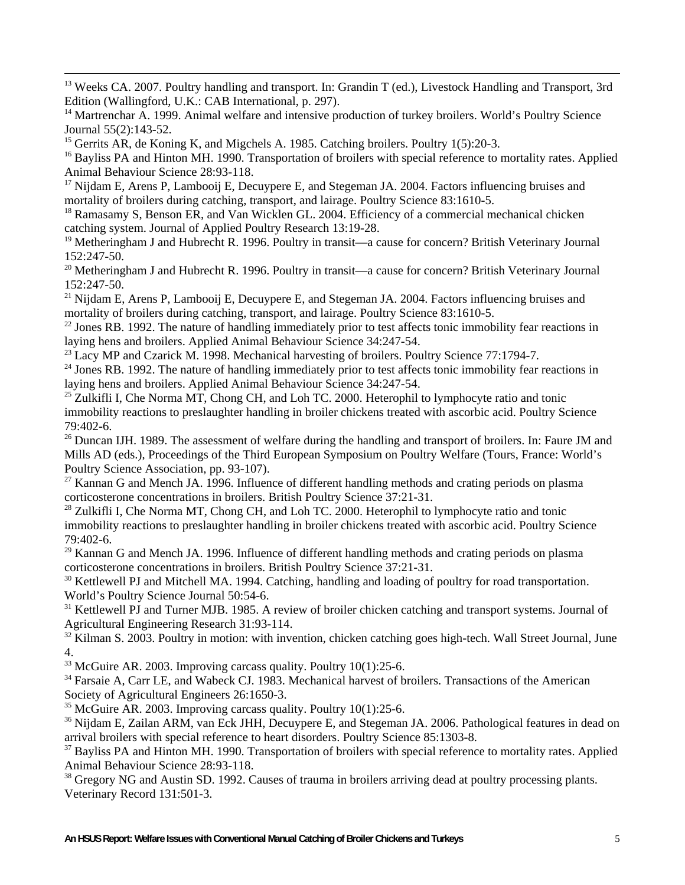<sup>13</sup> Weeks CA. 2007. Poultry handling and transport. In: Grandin T (ed.), Livestock Handling and Transport, 3rd Edition (Wallingford, U.K.: CAB International, p. 297).

 $16$  Bayliss PA and Hinton MH. 1990. Transportation of broilers with special reference to mortality rates. Applied Animal Behaviour Science 28:93-118.

 $17$  Nijdam E, Arens P, Lambooij E, Decuypere E, and Stegeman JA, 2004. Factors influencing bruises and mortality of broilers during catching, transport, and lairage. Poultry Science 83:1610-5.<br><sup>18</sup> Ramasamy S, Benson ER, and Van Wicklen GL. 2004. Efficiency of a commercial mechanical chicken

catching system. Journal of Applied Poultry Research 13:19-28.

<sup>19</sup> Metheringham J and Hubrecht R. 1996. Poultry in transit—a cause for concern? British Veterinary Journal 152:247-50.

 $20$  Metheringham J and Hubrecht R. 1996. Poultry in transit—a cause for concern? British Veterinary Journal 152:247-50.

<sup>21</sup> Nijdam E, Arens P, Lambooij E, Decuypere E, and Stegeman JA. 2004. Factors influencing bruises and mortality of broilers during catching, transport, and lairage. Poultry Science  $83:1610-5$ .

 $^{22}$  Jones RB. 1992. The nature of handling immediately prior to test affects tonic immobility fear reactions in laying hens and broilers. Applied Animal Behaviour Science 34:247-54.<br><sup>23</sup> Lacy MP and Czarick M. 1998. Mechanical harvesting of broilers. Poultry Science 77:1794-7.<br><sup>24</sup> Jones RB. 1992. The nature of handling immediately

laying hens and broilers. Applied Animal Behaviour Science 34:247-54.<br><sup>25</sup> Zulkifli I, Che Norma MT, Chong CH, and Loh TC. 2000. Heterophil to lymphocyte ratio and tonic

immobility reactions to preslaughter handling in broiler chickens treated with ascorbic acid. Poultry Science 79:402-6.

<sup>26</sup> Duncan IJH. 1989. The assessment of welfare during the handling and transport of broilers. In: Faure JM and Mills AD (eds.), Proceedings of the Third European Symposium on Poultry Welfare (Tours, France: World's Poultry Science Association, pp. 93-107).

 $27$  Kannan G and Mench JA. 1996. Influence of different handling methods and crating periods on plasma corticosterone concentrations in broilers. British Poultry Science 37:21-31.<br><sup>28</sup> Zulkifli I, Che Norma MT, Chong CH, and Loh TC. 2000. Heterophil to lymphocyte ratio and tonic

immobility reactions to preslaughter handling in broiler chickens treated with ascorbic acid. Poultry Science 79:402-6.

 $29$  Kannan G and Mench JA. 1996. Influence of different handling methods and crating periods on plasma corticosterone concentrations in broilers. British Poultry Science 37:21-31.<br><sup>30</sup> Kettlewell PJ and Mitchell MA. 1994. Catching, handling and loading of poultry for road transportation.

World's Poultry Science Journal 50:54-6.

<sup>31</sup> Kettlewell PJ and Turner MJB. 1985. A review of broiler chicken catching and transport systems. Journal of Agricultural Engineering Research 31:93-114.

<sup>32</sup> Kilman S. 2003. Poultry in motion: with invention, chicken catching goes high-tech. Wall Street Journal, June

4.  $^{33}$  McGuire AR. 2003. Improving carcass quality. Poultry 10(1):25-6.

<sup>34</sup> Farsaie A, Carr LE, and Wabeck CJ. 1983. Mechanical harvest of broilers. Transactions of the American Society of Agricultural Engineers 26:1650-3.

<sup>35</sup> McGuire AR. 2003. Improving carcass quality. Poultry  $10(1)$ :25-6.<br><sup>36</sup> Nijdam E, Zailan ARM, van Eck JHH, Decuypere E, and Stegeman JA. 2006. Pathological features in dead on arrival broilers with special reference

 $37$  Bayliss PA and Hinton MH. 1990. Transportation of broilers with special reference to mortality rates. Applied Animal Behaviour Science 28:93-118.

<sup>38</sup> Gregory NG and Austin SD. 1992. Causes of trauma in broilers arriving dead at poultry processing plants. Veterinary Record 131:501-3.

<sup>&</sup>lt;sup>14</sup> Martrenchar A. 1999. Animal welfare and intensive production of turkey broilers. World's Poultry Science Journal 55(2):143-52.<br><sup>15</sup> Gerrits AR, de Koning K, and Migchels A. 1985. Catching broilers. Poultry 1(5):20-3.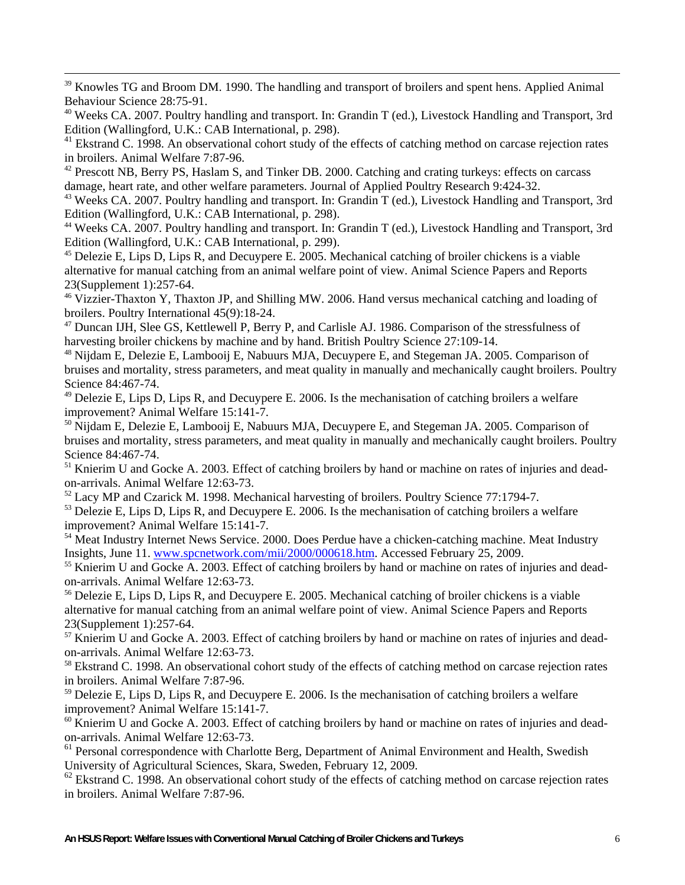<sup>39</sup> Knowles TG and Broom DM. 1990. The handling and transport of broilers and spent hens. Applied Animal Behaviour Science 28:75-91.

<sup>40</sup> Weeks CA. 2007. Poultry handling and transport. In: Grandin T (ed.), Livestock Handling and Transport, 3rd Edition (Wallingford, U.K.: CAB International, p. 298).

<sup>41</sup> Ekstrand C. 1998. An observational cohort study of the effects of catching method on carcase rejection rates in broilers. Animal Welfare 7:87-96.

<sup>42</sup> Prescott NB, Berry PS, Haslam S, and Tinker DB. 2000. Catching and crating turkeys: effects on carcass damage, heart rate, and other welfare parameters. Journal of Applied Poultry Research 9:424-32.<br><sup>43</sup> Weeks CA. 2007. Poultry handling and transport. In: Grandin T (ed.), Livestock Handling and Transport, 3rd

Edition (Wallingford, U.K.: CAB International, p. 298).

<sup>44</sup> Weeks CA. 2007. Poultry handling and transport. In: Grandin T (ed.), Livestock Handling and Transport, 3rd Edition (Wallingford, U.K.: CAB International, p. 299).

<sup>45</sup> Delezie E, Lips D, Lips R, and Decuypere E. 2005. Mechanical catching of broiler chickens is a viable alternative for manual catching from an animal welfare point of view. Animal Science Papers and Reports 23(Supplement 1):257-64.

<sup>46</sup> Vizzier-Thaxton Y, Thaxton JP, and Shilling MW. 2006. Hand versus mechanical catching and loading of broilers. Poultry International 45(9):18-24.

<sup>47</sup> Duncan IJH, Slee GS, Kettlewell P, Berry P, and Carlisle AJ. 1986. Comparison of the stressfulness of harvesting broiler chickens by machine and by hand. British Poultry Science 27:109-14.<br><sup>48</sup> Nijdam E, Delezie E, Lambooij E, Nabuurs MJA, Decuypere E, and Stegeman JA. 2005. Comparison of

bruises and mortality, stress parameters, and meat quality in manually and mechanically caught broilers. Poultry Science 84:467-74.

 $^{49}$  Delezie E, Lips D, Lips R, and Decuypere E. 2006. Is the mechanisation of catching broilers a welfare improvement? Animal Welfare 15:141-7.

<sup>50</sup> Nijdam E, Delezie E, Lambooij E, Nabuurs MJA, Decuypere E, and Stegeman JA. 2005. Comparison of bruises and mortality, stress parameters, and meat quality in manually and mechanically caught broilers. Poultry Science 84:467-74.

<sup>51</sup> Knierim U and Gocke A. 2003. Effect of catching broilers by hand or machine on rates of injuries and deadon-arrivals. Animal Welfare 12:63-73.

 $52$  Lacy MP and Czarick M. 1998. Mechanical harvesting of broilers. Poultry Science 77:1794-7.<br> $53$  Delezie E, Lips D, Lips R, and Decuypere E. 2006. Is the mechanisation of catching broilers a welfare

improvement? Animal Welfare 15:141-7.

<sup>54</sup> Meat Industry Internet News Service. 2000. Does Perdue have a chicken-catching machine. Meat Industry Insights, June 11. www.spcnetwork.com/mii/2000/000618.htm. Accessed February 25, 2009.

 $<sup>55</sup>$  Knierim U and Gocke A. 2003. Effect of catching broilers by hand or machine on rates of injuries and dead-</sup> on-arrivals. Animal Welfare 12:63-73.

<sup>56</sup> Delezie E, Lips D, Lips R, and Decuypere E. 2005. Mechanical catching of broiler chickens is a viable alternative for manual catching from an animal welfare point of view. Animal Science Papers and Reports 23(Supplement 1):257-64.

<sup>57</sup> Knierim U and Gocke A. 2003. Effect of catching broilers by hand or machine on rates of injuries and deadon-arrivals. Animal Welfare 12:63-73.

<sup>58</sup> Ekstrand C. 1998. An observational cohort study of the effects of catching method on carcase rejection rates in broilers. Animal Welfare 7:87-96.

 $59$  Delezie E, Lips D, Lips R, and Decuypere E. 2006. Is the mechanisation of catching broilers a welfare improvement? Animal Welfare 15:141-7.

 $60$  Knierim U and Gocke A. 2003. Effect of catching broilers by hand or machine on rates of injuries and deadon-arrivals. Animal Welfare 12:63-73.

<sup>61</sup> Personal correspondence with Charlotte Berg, Department of Animal Environment and Health, Swedish University of Agricultural Sciences, Skara, Sweden, February 12, 2009.

 $62$  Ekstrand C. 1998. An observational cohort study of the effects of catching method on carcase rejection rates in broilers. Animal Welfare 7:87-96.